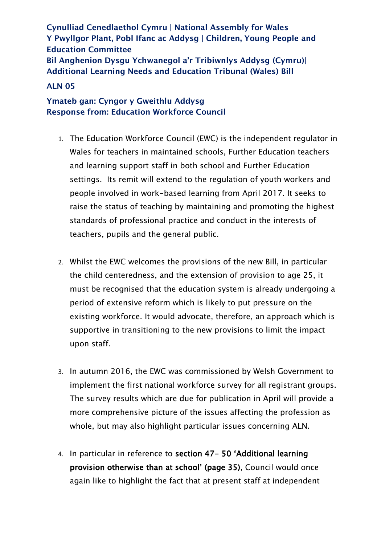**Cynulliad Cenedlaethol Cymru | National Assembly for Wales Y Pwyllgor Plant, Pobl Ifanc ac Addysg | Children, Young People and Education Committee Bil Anghenion Dysgu Ychwanegol a'r Tribiwnlys Addysg (Cymru)| Additional Learning Needs and Education Tribunal (Wales) Bill**

## **ALN 05**

## **Ymateb gan: Cyngor y Gweithlu Addysg Response from: Education Workforce Council**

- 1. The Education Workforce Council (EWC) is the independent regulator in Wales for teachers in maintained schools, Further Education teachers and learning support staff in both school and Further Education settings. Its remit will extend to the regulation of youth workers and people involved in work-based learning from April 2017. It seeks to raise the status of teaching by maintaining and promoting the highest standards of professional practice and conduct in the interests of teachers, pupils and the general public.
- 2. Whilst the EWC welcomes the provisions of the new Bill, in particular the child centeredness, and the extension of provision to age 25, it must be recognised that the education system is already undergoing a period of extensive reform which is likely to put pressure on the existing workforce. It would advocate, therefore, an approach which is supportive in transitioning to the new provisions to limit the impact upon staff.
- 3. In autumn 2016, the EWC was commissioned by Welsh Government to implement the first national workforce survey for all registrant groups. The survey results which are due for publication in April will provide a more comprehensive picture of the issues affecting the profession as whole, but may also highlight particular issues concerning ALN.
- 4. In particular in reference to section 47- 50 'Additional learning provision otherwise than at school' (page 35), Council would once again like to highlight the fact that at present staff at independent